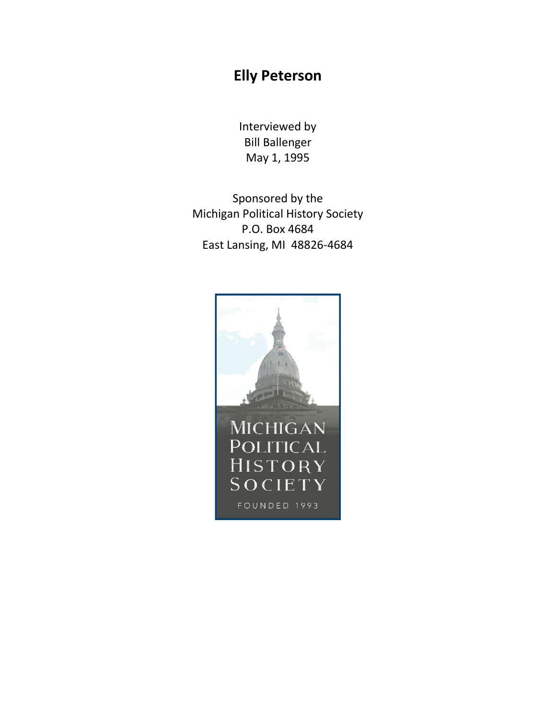## **Elly Peterson**

Interviewed by Bill Ballenger May 1, 1995

Sponsored by the Michigan Political History Society P.O. Box 4684 East Lansing, MI 48826-4684

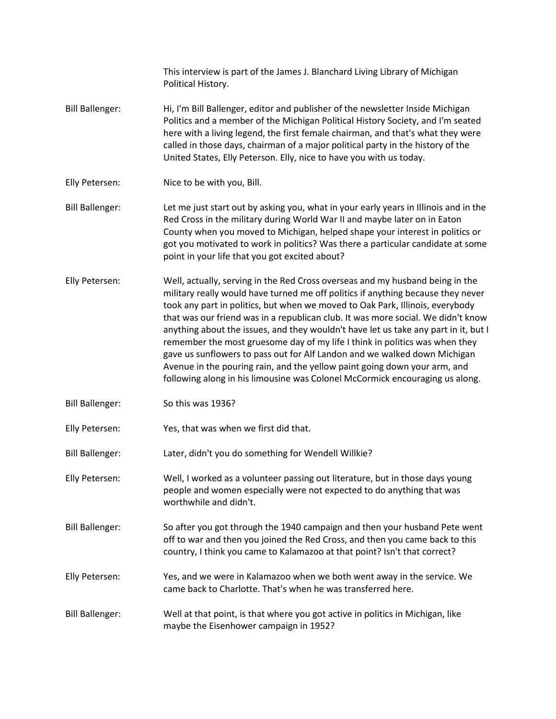|                        | This interview is part of the James J. Blanchard Living Library of Michigan<br>Political History.                                                                                                                                                                                                                                                                                                                                                                                                                                                                                                                                                                                                                                                      |
|------------------------|--------------------------------------------------------------------------------------------------------------------------------------------------------------------------------------------------------------------------------------------------------------------------------------------------------------------------------------------------------------------------------------------------------------------------------------------------------------------------------------------------------------------------------------------------------------------------------------------------------------------------------------------------------------------------------------------------------------------------------------------------------|
| <b>Bill Ballenger:</b> | Hi, I'm Bill Ballenger, editor and publisher of the newsletter Inside Michigan<br>Politics and a member of the Michigan Political History Society, and I'm seated<br>here with a living legend, the first female chairman, and that's what they were<br>called in those days, chairman of a major political party in the history of the<br>United States, Elly Peterson. Elly, nice to have you with us today.                                                                                                                                                                                                                                                                                                                                         |
| Elly Petersen:         | Nice to be with you, Bill.                                                                                                                                                                                                                                                                                                                                                                                                                                                                                                                                                                                                                                                                                                                             |
| <b>Bill Ballenger:</b> | Let me just start out by asking you, what in your early years in Illinois and in the<br>Red Cross in the military during World War II and maybe later on in Eaton<br>County when you moved to Michigan, helped shape your interest in politics or<br>got you motivated to work in politics? Was there a particular candidate at some<br>point in your life that you got excited about?                                                                                                                                                                                                                                                                                                                                                                 |
| Elly Petersen:         | Well, actually, serving in the Red Cross overseas and my husband being in the<br>military really would have turned me off politics if anything because they never<br>took any part in politics, but when we moved to Oak Park, Illinois, everybody<br>that was our friend was in a republican club. It was more social. We didn't know<br>anything about the issues, and they wouldn't have let us take any part in it, but I<br>remember the most gruesome day of my life I think in politics was when they<br>gave us sunflowers to pass out for Alf Landon and we walked down Michigan<br>Avenue in the pouring rain, and the yellow paint going down your arm, and<br>following along in his limousine was Colonel McCormick encouraging us along. |
| <b>Bill Ballenger:</b> | So this was 1936?                                                                                                                                                                                                                                                                                                                                                                                                                                                                                                                                                                                                                                                                                                                                      |
| Elly Petersen:         | Yes, that was when we first did that.                                                                                                                                                                                                                                                                                                                                                                                                                                                                                                                                                                                                                                                                                                                  |
| <b>Bill Ballenger:</b> | Later, didn't you do something for Wendell Willkie?                                                                                                                                                                                                                                                                                                                                                                                                                                                                                                                                                                                                                                                                                                    |
| Elly Petersen:         | Well, I worked as a volunteer passing out literature, but in those days young<br>people and women especially were not expected to do anything that was<br>worthwhile and didn't.                                                                                                                                                                                                                                                                                                                                                                                                                                                                                                                                                                       |
| <b>Bill Ballenger:</b> | So after you got through the 1940 campaign and then your husband Pete went<br>off to war and then you joined the Red Cross, and then you came back to this<br>country, I think you came to Kalamazoo at that point? Isn't that correct?                                                                                                                                                                                                                                                                                                                                                                                                                                                                                                                |
| Elly Petersen:         | Yes, and we were in Kalamazoo when we both went away in the service. We<br>came back to Charlotte. That's when he was transferred here.                                                                                                                                                                                                                                                                                                                                                                                                                                                                                                                                                                                                                |
| <b>Bill Ballenger:</b> | Well at that point, is that where you got active in politics in Michigan, like<br>maybe the Eisenhower campaign in 1952?                                                                                                                                                                                                                                                                                                                                                                                                                                                                                                                                                                                                                               |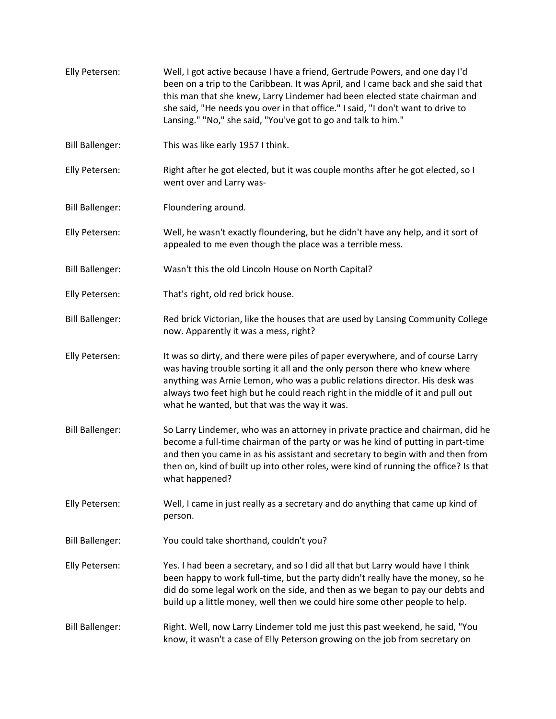Elly Petersen: Well, I got active because I have a friend, Gertrude Powers, and one day I'd been on a trip to the Caribbean. It was April, and I came back and she said that this man that she knew, Larry Lindemer had been elected state chairman and she said, "He needs you over in that office." I said, "I don't want to drive to Lansing." "No," she said, "You've got to go and talk to him." Bill Ballenger: This was like early 1957 I think. Elly Petersen: Right after he got elected, but it was couple months after he got elected, so I went over and Larry was-Bill Ballenger: Floundering around. Elly Petersen: Well, he wasn't exactly floundering, but he didn't have any help, and it sort of appealed to me even though the place was a terrible mess. Bill Ballenger: Wasn't this the old Lincoln House on North Capital? Elly Petersen: That's right, old red brick house. Bill Ballenger: Red brick Victorian, like the houses that are used by Lansing Community College now. Apparently it was a mess, right? Elly Petersen: It was so dirty, and there were piles of paper everywhere, and of course Larry was having trouble sorting it all and the only person there who knew where anything was Arnie Lemon, who was a public relations director. His desk was always two feet high but he could reach right in the middle of it and pull out what he wanted, but that was the way it was. Bill Ballenger: So Larry Lindemer, who was an attorney in private practice and chairman, did he become a full-time chairman of the party or was he kind of putting in part-time and then you came in as his assistant and secretary to begin with and then from then on, kind of built up into other roles, were kind of running the office? Is that what happened? Elly Petersen: Well, I came in just really as a secretary and do anything that came up kind of person. Bill Ballenger: You could take shorthand, couldn't you? Elly Petersen: Yes. I had been a secretary, and so I did all that but Larry would have I think been happy to work full-time, but the party didn't really have the money, so he did do some legal work on the side, and then as we began to pay our debts and build up a little money, well then we could hire some other people to help. Bill Ballenger: Right. Well, now Larry Lindemer told me just this past weekend, he said, "You know, it wasn't a case of Elly Peterson growing on the job from secretary on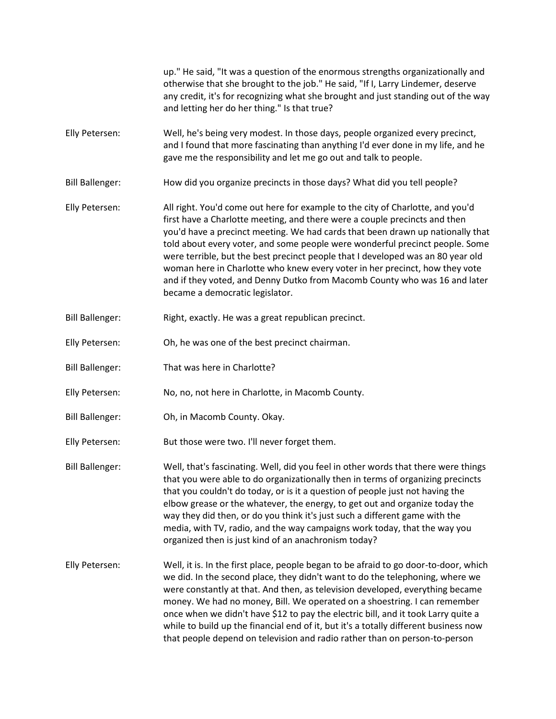|                        | up." He said, "It was a question of the enormous strengths organizationally and<br>otherwise that she brought to the job." He said, "If I, Larry Lindemer, deserve<br>any credit, it's for recognizing what she brought and just standing out of the way<br>and letting her do her thing." Is that true?                                                                                                                                                                                                                                                                                                          |
|------------------------|-------------------------------------------------------------------------------------------------------------------------------------------------------------------------------------------------------------------------------------------------------------------------------------------------------------------------------------------------------------------------------------------------------------------------------------------------------------------------------------------------------------------------------------------------------------------------------------------------------------------|
| Elly Petersen:         | Well, he's being very modest. In those days, people organized every precinct,<br>and I found that more fascinating than anything I'd ever done in my life, and he<br>gave me the responsibility and let me go out and talk to people.                                                                                                                                                                                                                                                                                                                                                                             |
| <b>Bill Ballenger:</b> | How did you organize precincts in those days? What did you tell people?                                                                                                                                                                                                                                                                                                                                                                                                                                                                                                                                           |
| Elly Petersen:         | All right. You'd come out here for example to the city of Charlotte, and you'd<br>first have a Charlotte meeting, and there were a couple precincts and then<br>you'd have a precinct meeting. We had cards that been drawn up nationally that<br>told about every voter, and some people were wonderful precinct people. Some<br>were terrible, but the best precinct people that I developed was an 80 year old<br>woman here in Charlotte who knew every voter in her precinct, how they vote<br>and if they voted, and Denny Dutko from Macomb County who was 16 and later<br>became a democratic legislator. |
| <b>Bill Ballenger:</b> | Right, exactly. He was a great republican precinct.                                                                                                                                                                                                                                                                                                                                                                                                                                                                                                                                                               |
| Elly Petersen:         | Oh, he was one of the best precinct chairman.                                                                                                                                                                                                                                                                                                                                                                                                                                                                                                                                                                     |
| <b>Bill Ballenger:</b> | That was here in Charlotte?                                                                                                                                                                                                                                                                                                                                                                                                                                                                                                                                                                                       |
| Elly Petersen:         | No, no, not here in Charlotte, in Macomb County.                                                                                                                                                                                                                                                                                                                                                                                                                                                                                                                                                                  |
| <b>Bill Ballenger:</b> | Oh, in Macomb County. Okay.                                                                                                                                                                                                                                                                                                                                                                                                                                                                                                                                                                                       |
| Elly Petersen:         | But those were two. I'll never forget them.                                                                                                                                                                                                                                                                                                                                                                                                                                                                                                                                                                       |
| <b>Bill Ballenger:</b> | Well, that's fascinating. Well, did you feel in other words that there were things<br>that you were able to do organizationally then in terms of organizing precincts<br>that you couldn't do today, or is it a question of people just not having the<br>elbow grease or the whatever, the energy, to get out and organize today the<br>way they did then, or do you think it's just such a different game with the<br>media, with TV, radio, and the way campaigns work today, that the way you<br>organized then is just kind of an anachronism today?                                                         |
| Elly Petersen:         | Well, it is. In the first place, people began to be afraid to go door-to-door, which<br>we did. In the second place, they didn't want to do the telephoning, where we<br>were constantly at that. And then, as television developed, everything became<br>money. We had no money, Bill. We operated on a shoestring. I can remember<br>once when we didn't have \$12 to pay the electric bill, and it took Larry quite a<br>while to build up the financial end of it, but it's a totally different business now<br>that people depend on television and radio rather than on person-to-person                    |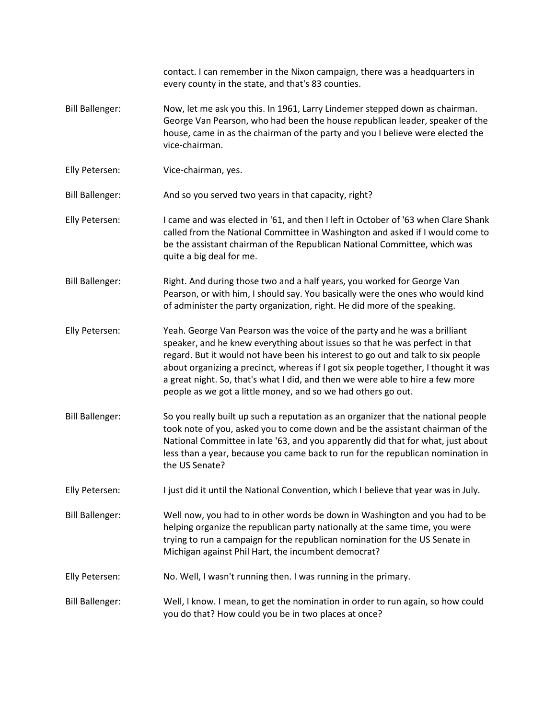|                        | contact. I can remember in the Nixon campaign, there was a headquarters in<br>every county in the state, and that's 83 counties.                                                                                                                                                                                                                                                                                                                                                        |
|------------------------|-----------------------------------------------------------------------------------------------------------------------------------------------------------------------------------------------------------------------------------------------------------------------------------------------------------------------------------------------------------------------------------------------------------------------------------------------------------------------------------------|
| <b>Bill Ballenger:</b> | Now, let me ask you this. In 1961, Larry Lindemer stepped down as chairman.<br>George Van Pearson, who had been the house republican leader, speaker of the<br>house, came in as the chairman of the party and you I believe were elected the<br>vice-chairman.                                                                                                                                                                                                                         |
| Elly Petersen:         | Vice-chairman, yes.                                                                                                                                                                                                                                                                                                                                                                                                                                                                     |
| <b>Bill Ballenger:</b> | And so you served two years in that capacity, right?                                                                                                                                                                                                                                                                                                                                                                                                                                    |
| Elly Petersen:         | I came and was elected in '61, and then I left in October of '63 when Clare Shank<br>called from the National Committee in Washington and asked if I would come to<br>be the assistant chairman of the Republican National Committee, which was<br>quite a big deal for me.                                                                                                                                                                                                             |
| <b>Bill Ballenger:</b> | Right. And during those two and a half years, you worked for George Van<br>Pearson, or with him, I should say. You basically were the ones who would kind<br>of administer the party organization, right. He did more of the speaking.                                                                                                                                                                                                                                                  |
| Elly Petersen:         | Yeah. George Van Pearson was the voice of the party and he was a brilliant<br>speaker, and he knew everything about issues so that he was perfect in that<br>regard. But it would not have been his interest to go out and talk to six people<br>about organizing a precinct, whereas if I got six people together, I thought it was<br>a great night. So, that's what I did, and then we were able to hire a few more<br>people as we got a little money, and so we had others go out. |
| <b>Bill Ballenger:</b> | So you really built up such a reputation as an organizer that the national people<br>took note of you, asked you to come down and be the assistant chairman of the<br>National Committee in late '63, and you apparently did that for what, just about<br>less than a year, because you came back to run for the republican nomination in<br>the US Senate?                                                                                                                             |
| Elly Petersen:         | I just did it until the National Convention, which I believe that year was in July.                                                                                                                                                                                                                                                                                                                                                                                                     |
| <b>Bill Ballenger:</b> | Well now, you had to in other words be down in Washington and you had to be<br>helping organize the republican party nationally at the same time, you were<br>trying to run a campaign for the republican nomination for the US Senate in<br>Michigan against Phil Hart, the incumbent democrat?                                                                                                                                                                                        |
| Elly Petersen:         | No. Well, I wasn't running then. I was running in the primary.                                                                                                                                                                                                                                                                                                                                                                                                                          |
| <b>Bill Ballenger:</b> | Well, I know. I mean, to get the nomination in order to run again, so how could<br>you do that? How could you be in two places at once?                                                                                                                                                                                                                                                                                                                                                 |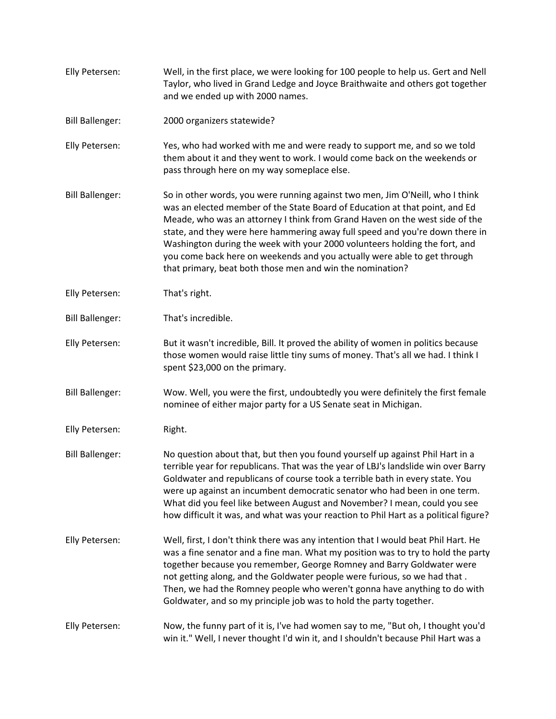Elly Petersen: Well, in the first place, we were looking for 100 people to help us. Gert and Nell Taylor, who lived in Grand Ledge and Joyce Braithwaite and others got together and we ended up with 2000 names. Bill Ballenger: 2000 organizers statewide? Elly Petersen: Yes, who had worked with me and were ready to support me, and so we told them about it and they went to work. I would come back on the weekends or pass through here on my way someplace else. Bill Ballenger: So in other words, you were running against two men, Jim O'Neill, who I think was an elected member of the State Board of Education at that point, and Ed Meade, who was an attorney I think from Grand Haven on the west side of the state, and they were here hammering away full speed and you're down there in Washington during the week with your 2000 volunteers holding the fort, and you come back here on weekends and you actually were able to get through that primary, beat both those men and win the nomination? Elly Petersen: That's right. Bill Ballenger: That's incredible. Elly Petersen: But it wasn't incredible, Bill. It proved the ability of women in politics because those women would raise little tiny sums of money. That's all we had. I think I spent \$23,000 on the primary. Bill Ballenger: Wow. Well, you were the first, undoubtedly you were definitely the first female nominee of either major party for a US Senate seat in Michigan. Elly Petersen: Right. Bill Ballenger: No question about that, but then you found yourself up against Phil Hart in a terrible year for republicans. That was the year of LBJ's landslide win over Barry Goldwater and republicans of course took a terrible bath in every state. You were up against an incumbent democratic senator who had been in one term. What did you feel like between August and November? I mean, could you see how difficult it was, and what was your reaction to Phil Hart as a political figure? Elly Petersen: Well, first, I don't think there was any intention that I would beat Phil Hart. He was a fine senator and a fine man. What my position was to try to hold the party together because you remember, George Romney and Barry Goldwater were not getting along, and the Goldwater people were furious, so we had that . Then, we had the Romney people who weren't gonna have anything to do with Goldwater, and so my principle job was to hold the party together. Elly Petersen: Now, the funny part of it is, I've had women say to me, "But oh, I thought you'd win it." Well, I never thought I'd win it, and I shouldn't because Phil Hart was a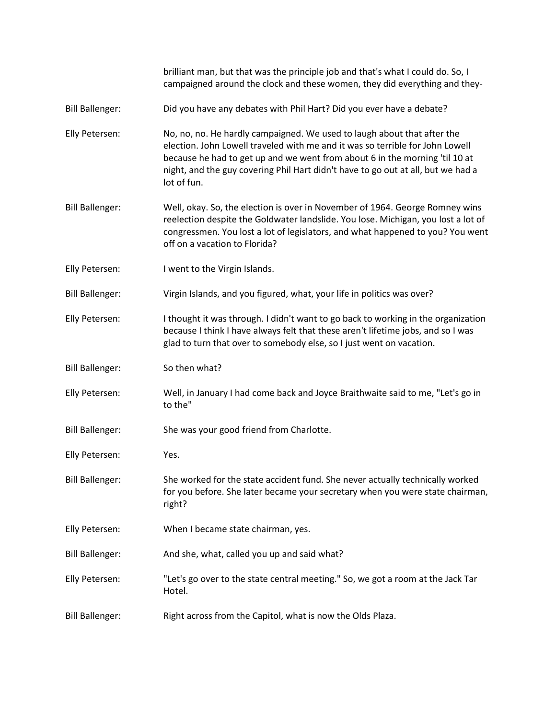|                        | brilliant man, but that was the principle job and that's what I could do. So, I<br>campaigned around the clock and these women, they did everything and they-                                                                                                                                                                              |
|------------------------|--------------------------------------------------------------------------------------------------------------------------------------------------------------------------------------------------------------------------------------------------------------------------------------------------------------------------------------------|
| <b>Bill Ballenger:</b> | Did you have any debates with Phil Hart? Did you ever have a debate?                                                                                                                                                                                                                                                                       |
| Elly Petersen:         | No, no, no. He hardly campaigned. We used to laugh about that after the<br>election. John Lowell traveled with me and it was so terrible for John Lowell<br>because he had to get up and we went from about 6 in the morning 'til 10 at<br>night, and the guy covering Phil Hart didn't have to go out at all, but we had a<br>lot of fun. |
| <b>Bill Ballenger:</b> | Well, okay. So, the election is over in November of 1964. George Romney wins<br>reelection despite the Goldwater landslide. You lose. Michigan, you lost a lot of<br>congressmen. You lost a lot of legislators, and what happened to you? You went<br>off on a vacation to Florida?                                                       |
| Elly Petersen:         | I went to the Virgin Islands.                                                                                                                                                                                                                                                                                                              |
| <b>Bill Ballenger:</b> | Virgin Islands, and you figured, what, your life in politics was over?                                                                                                                                                                                                                                                                     |
| Elly Petersen:         | I thought it was through. I didn't want to go back to working in the organization<br>because I think I have always felt that these aren't lifetime jobs, and so I was<br>glad to turn that over to somebody else, so I just went on vacation.                                                                                              |
| <b>Bill Ballenger:</b> | So then what?                                                                                                                                                                                                                                                                                                                              |
| Elly Petersen:         | Well, in January I had come back and Joyce Braithwaite said to me, "Let's go in<br>to the"                                                                                                                                                                                                                                                 |
| <b>Bill Ballenger:</b> | She was your good friend from Charlotte.                                                                                                                                                                                                                                                                                                   |
| Elly Petersen:         | Yes.                                                                                                                                                                                                                                                                                                                                       |
| <b>Bill Ballenger:</b> | She worked for the state accident fund. She never actually technically worked<br>for you before. She later became your secretary when you were state chairman,<br>right?                                                                                                                                                                   |
| Elly Petersen:         | When I became state chairman, yes.                                                                                                                                                                                                                                                                                                         |
| <b>Bill Ballenger:</b> | And she, what, called you up and said what?                                                                                                                                                                                                                                                                                                |
| Elly Petersen:         | "Let's go over to the state central meeting." So, we got a room at the Jack Tar<br>Hotel.                                                                                                                                                                                                                                                  |
| <b>Bill Ballenger:</b> | Right across from the Capitol, what is now the Olds Plaza.                                                                                                                                                                                                                                                                                 |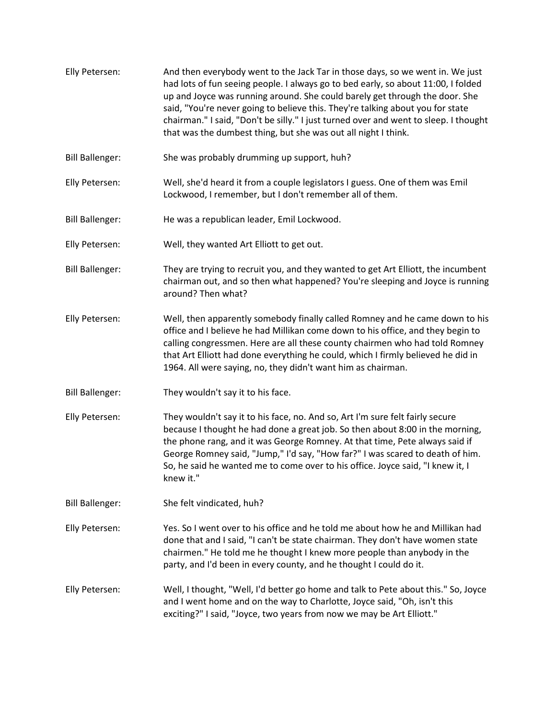- Elly Petersen: And then everybody went to the Jack Tar in those days, so we went in. We just had lots of fun seeing people. I always go to bed early, so about 11:00, I folded up and Joyce was running around. She could barely get through the door. She said, "You're never going to believe this. They're talking about you for state chairman." I said, "Don't be silly." I just turned over and went to sleep. I thought that was the dumbest thing, but she was out all night I think.
- Bill Ballenger: She was probably drumming up support, huh?
- Elly Petersen: Well, she'd heard it from a couple legislators I guess. One of them was Emil Lockwood, I remember, but I don't remember all of them.
- Bill Ballenger: He was a republican leader, Emil Lockwood.
- Elly Petersen: Well, they wanted Art Elliott to get out.
- Bill Ballenger: They are trying to recruit you, and they wanted to get Art Elliott, the incumbent chairman out, and so then what happened? You're sleeping and Joyce is running around? Then what?
- Elly Petersen: Well, then apparently somebody finally called Romney and he came down to his office and I believe he had Millikan come down to his office, and they begin to calling congressmen. Here are all these county chairmen who had told Romney that Art Elliott had done everything he could, which I firmly believed he did in 1964. All were saying, no, they didn't want him as chairman.
- Bill Ballenger: They wouldn't say it to his face.
- Elly Petersen: They wouldn't say it to his face, no. And so, Art I'm sure felt fairly secure because I thought he had done a great job. So then about 8:00 in the morning, the phone rang, and it was George Romney. At that time, Pete always said if George Romney said, "Jump," I'd say, "How far?" I was scared to death of him. So, he said he wanted me to come over to his office. Joyce said, "I knew it, I knew it."
- Bill Ballenger: She felt vindicated, huh?

Elly Petersen: Yes. So I went over to his office and he told me about how he and Millikan had done that and I said, "I can't be state chairman. They don't have women state chairmen." He told me he thought I knew more people than anybody in the party, and I'd been in every county, and he thought I could do it.

Elly Petersen: Well, I thought, "Well, I'd better go home and talk to Pete about this." So, Joyce and I went home and on the way to Charlotte, Joyce said, "Oh, isn't this exciting?" I said, "Joyce, two years from now we may be Art Elliott."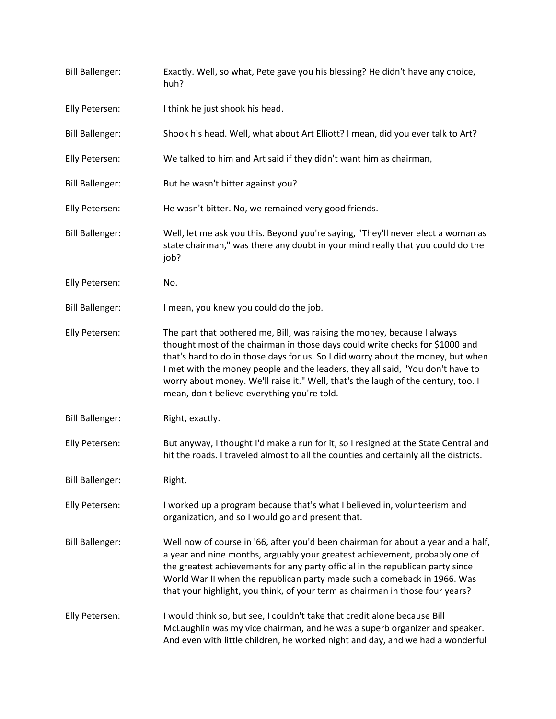| <b>Bill Ballenger:</b> | Exactly. Well, so what, Pete gave you his blessing? He didn't have any choice,<br>huh?                                                                                                                                                                                                                                                                                                                                                                             |
|------------------------|--------------------------------------------------------------------------------------------------------------------------------------------------------------------------------------------------------------------------------------------------------------------------------------------------------------------------------------------------------------------------------------------------------------------------------------------------------------------|
| Elly Petersen:         | I think he just shook his head.                                                                                                                                                                                                                                                                                                                                                                                                                                    |
| <b>Bill Ballenger:</b> | Shook his head. Well, what about Art Elliott? I mean, did you ever talk to Art?                                                                                                                                                                                                                                                                                                                                                                                    |
| Elly Petersen:         | We talked to him and Art said if they didn't want him as chairman,                                                                                                                                                                                                                                                                                                                                                                                                 |
| <b>Bill Ballenger:</b> | But he wasn't bitter against you?                                                                                                                                                                                                                                                                                                                                                                                                                                  |
| Elly Petersen:         | He wasn't bitter. No, we remained very good friends.                                                                                                                                                                                                                                                                                                                                                                                                               |
| <b>Bill Ballenger:</b> | Well, let me ask you this. Beyond you're saying, "They'll never elect a woman as<br>state chairman," was there any doubt in your mind really that you could do the<br>job?                                                                                                                                                                                                                                                                                         |
| Elly Petersen:         | No.                                                                                                                                                                                                                                                                                                                                                                                                                                                                |
| <b>Bill Ballenger:</b> | I mean, you knew you could do the job.                                                                                                                                                                                                                                                                                                                                                                                                                             |
| Elly Petersen:         | The part that bothered me, Bill, was raising the money, because I always<br>thought most of the chairman in those days could write checks for \$1000 and<br>that's hard to do in those days for us. So I did worry about the money, but when<br>I met with the money people and the leaders, they all said, "You don't have to<br>worry about money. We'll raise it." Well, that's the laugh of the century, too. I<br>mean, don't believe everything you're told. |
| <b>Bill Ballenger:</b> | Right, exactly.                                                                                                                                                                                                                                                                                                                                                                                                                                                    |
| Elly Petersen:         | But anyway, I thought I'd make a run for it, so I resigned at the State Central and<br>hit the roads. I traveled almost to all the counties and certainly all the districts.                                                                                                                                                                                                                                                                                       |
| <b>Bill Ballenger:</b> | Right.                                                                                                                                                                                                                                                                                                                                                                                                                                                             |
| Elly Petersen:         | I worked up a program because that's what I believed in, volunteerism and<br>organization, and so I would go and present that.                                                                                                                                                                                                                                                                                                                                     |
| <b>Bill Ballenger:</b> | Well now of course in '66, after you'd been chairman for about a year and a half,<br>a year and nine months, arguably your greatest achievement, probably one of<br>the greatest achievements for any party official in the republican party since<br>World War II when the republican party made such a comeback in 1966. Was<br>that your highlight, you think, of your term as chairman in those four years?                                                    |
| Elly Petersen:         | I would think so, but see, I couldn't take that credit alone because Bill<br>McLaughlin was my vice chairman, and he was a superb organizer and speaker.<br>And even with little children, he worked night and day, and we had a wonderful                                                                                                                                                                                                                         |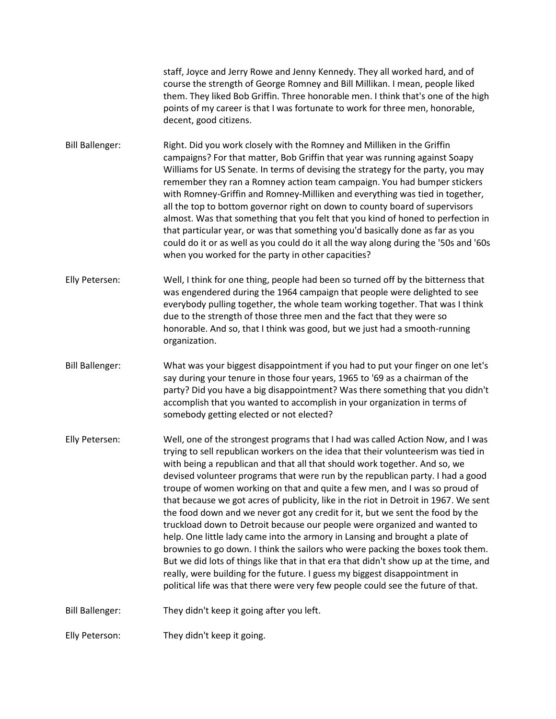staff, Joyce and Jerry Rowe and Jenny Kennedy. They all worked hard, and of course the strength of George Romney and Bill Millikan. I mean, people liked them. They liked Bob Griffin. Three honorable men. I think that's one of the high points of my career is that I was fortunate to work for three men, honorable, decent, good citizens.

Bill Ballenger: Right. Did you work closely with the Romney and Milliken in the Griffin campaigns? For that matter, Bob Griffin that year was running against Soapy Williams for US Senate. In terms of devising the strategy for the party, you may remember they ran a Romney action team campaign. You had bumper stickers with Romney-Griffin and Romney-Milliken and everything was tied in together, all the top to bottom governor right on down to county board of supervisors almost. Was that something that you felt that you kind of honed to perfection in that particular year, or was that something you'd basically done as far as you could do it or as well as you could do it all the way along during the '50s and '60s when you worked for the party in other capacities?

Elly Petersen: Well, I think for one thing, people had been so turned off by the bitterness that was engendered during the 1964 campaign that people were delighted to see everybody pulling together, the whole team working together. That was I think due to the strength of those three men and the fact that they were so honorable. And so, that I think was good, but we just had a smooth-running organization.

- Bill Ballenger: What was your biggest disappointment if you had to put your finger on one let's say during your tenure in those four years, 1965 to '69 as a chairman of the party? Did you have a big disappointment? Was there something that you didn't accomplish that you wanted to accomplish in your organization in terms of somebody getting elected or not elected?
- Elly Petersen: Well, one of the strongest programs that I had was called Action Now, and I was trying to sell republican workers on the idea that their volunteerism was tied in with being a republican and that all that should work together. And so, we devised volunteer programs that were run by the republican party. I had a good troupe of women working on that and quite a few men, and I was so proud of that because we got acres of publicity, like in the riot in Detroit in 1967. We sent the food down and we never got any credit for it, but we sent the food by the truckload down to Detroit because our people were organized and wanted to help. One little lady came into the armory in Lansing and brought a plate of brownies to go down. I think the sailors who were packing the boxes took them. But we did lots of things like that in that era that didn't show up at the time, and really, were building for the future. I guess my biggest disappointment in political life was that there were very few people could see the future of that.

Bill Ballenger: They didn't keep it going after you left.

Elly Peterson: They didn't keep it going.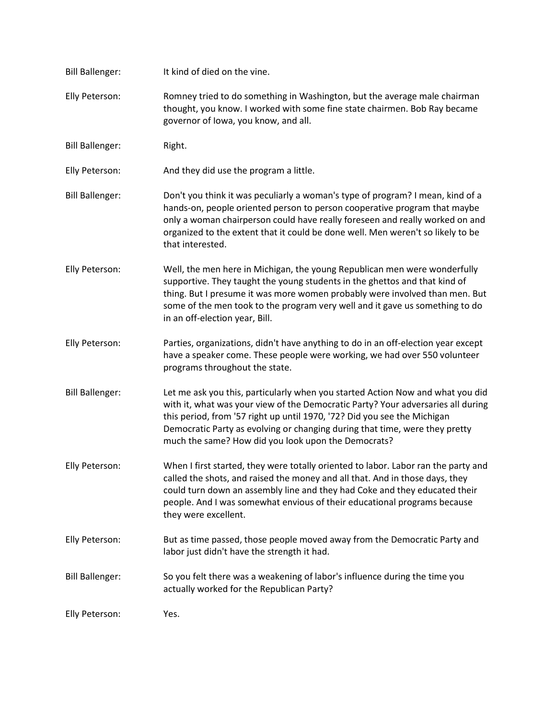| <b>Bill Ballenger:</b> | It kind of died on the vine.                                                                                                                                                                                                                                                                                                                                                         |
|------------------------|--------------------------------------------------------------------------------------------------------------------------------------------------------------------------------------------------------------------------------------------------------------------------------------------------------------------------------------------------------------------------------------|
| Elly Peterson:         | Romney tried to do something in Washington, but the average male chairman<br>thought, you know. I worked with some fine state chairmen. Bob Ray became<br>governor of Iowa, you know, and all.                                                                                                                                                                                       |
| <b>Bill Ballenger:</b> | Right.                                                                                                                                                                                                                                                                                                                                                                               |
| Elly Peterson:         | And they did use the program a little.                                                                                                                                                                                                                                                                                                                                               |
| <b>Bill Ballenger:</b> | Don't you think it was peculiarly a woman's type of program? I mean, kind of a<br>hands-on, people oriented person to person cooperative program that maybe<br>only a woman chairperson could have really foreseen and really worked on and<br>organized to the extent that it could be done well. Men weren't so likely to be<br>that interested.                                   |
| Elly Peterson:         | Well, the men here in Michigan, the young Republican men were wonderfully<br>supportive. They taught the young students in the ghettos and that kind of<br>thing. But I presume it was more women probably were involved than men. But<br>some of the men took to the program very well and it gave us something to do<br>in an off-election year, Bill.                             |
| Elly Peterson:         | Parties, organizations, didn't have anything to do in an off-election year except<br>have a speaker come. These people were working, we had over 550 volunteer<br>programs throughout the state.                                                                                                                                                                                     |
| <b>Bill Ballenger:</b> | Let me ask you this, particularly when you started Action Now and what you did<br>with it, what was your view of the Democratic Party? Your adversaries all during<br>this period, from '57 right up until 1970, '72? Did you see the Michigan<br>Democratic Party as evolving or changing during that time, were they pretty<br>much the same? How did you look upon the Democrats? |
| Elly Peterson:         | When I first started, they were totally oriented to labor. Labor ran the party and<br>called the shots, and raised the money and all that. And in those days, they<br>could turn down an assembly line and they had Coke and they educated their<br>people. And I was somewhat envious of their educational programs because<br>they were excellent.                                 |
| Elly Peterson:         | But as time passed, those people moved away from the Democratic Party and<br>labor just didn't have the strength it had.                                                                                                                                                                                                                                                             |
| <b>Bill Ballenger:</b> | So you felt there was a weakening of labor's influence during the time you<br>actually worked for the Republican Party?                                                                                                                                                                                                                                                              |
| Elly Peterson:         | Yes.                                                                                                                                                                                                                                                                                                                                                                                 |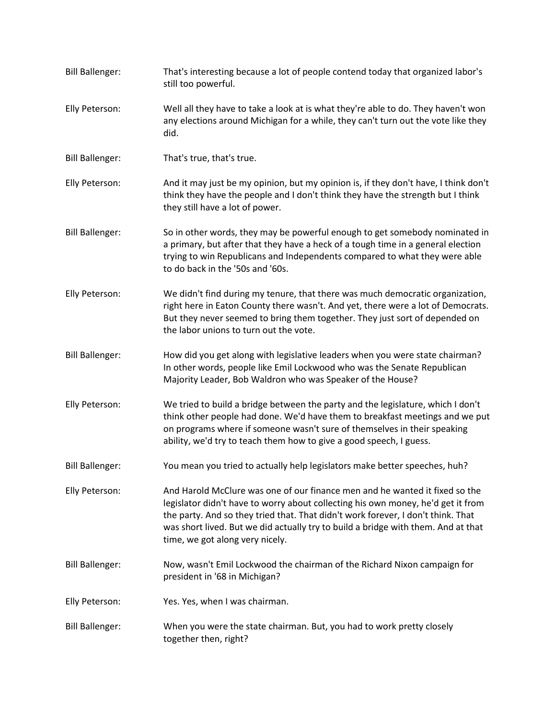| <b>Bill Ballenger:</b> | That's interesting because a lot of people contend today that organized labor's<br>still too powerful.                                                                                                                                                                                                                                                                      |
|------------------------|-----------------------------------------------------------------------------------------------------------------------------------------------------------------------------------------------------------------------------------------------------------------------------------------------------------------------------------------------------------------------------|
| Elly Peterson:         | Well all they have to take a look at is what they're able to do. They haven't won<br>any elections around Michigan for a while, they can't turn out the vote like they<br>did.                                                                                                                                                                                              |
| <b>Bill Ballenger:</b> | That's true, that's true.                                                                                                                                                                                                                                                                                                                                                   |
| Elly Peterson:         | And it may just be my opinion, but my opinion is, if they don't have, I think don't<br>think they have the people and I don't think they have the strength but I think<br>they still have a lot of power.                                                                                                                                                                   |
| <b>Bill Ballenger:</b> | So in other words, they may be powerful enough to get somebody nominated in<br>a primary, but after that they have a heck of a tough time in a general election<br>trying to win Republicans and Independents compared to what they were able<br>to do back in the '50s and '60s.                                                                                           |
| Elly Peterson:         | We didn't find during my tenure, that there was much democratic organization,<br>right here in Eaton County there wasn't. And yet, there were a lot of Democrats.<br>But they never seemed to bring them together. They just sort of depended on<br>the labor unions to turn out the vote.                                                                                  |
| <b>Bill Ballenger:</b> | How did you get along with legislative leaders when you were state chairman?<br>In other words, people like Emil Lockwood who was the Senate Republican<br>Majority Leader, Bob Waldron who was Speaker of the House?                                                                                                                                                       |
| Elly Peterson:         | We tried to build a bridge between the party and the legislature, which I don't<br>think other people had done. We'd have them to breakfast meetings and we put<br>on programs where if someone wasn't sure of themselves in their speaking<br>ability, we'd try to teach them how to give a good speech, I guess.                                                          |
| <b>Bill Ballenger:</b> | You mean you tried to actually help legislators make better speeches, huh?                                                                                                                                                                                                                                                                                                  |
| Elly Peterson:         | And Harold McClure was one of our finance men and he wanted it fixed so the<br>legislator didn't have to worry about collecting his own money, he'd get it from<br>the party. And so they tried that. That didn't work forever, I don't think. That<br>was short lived. But we did actually try to build a bridge with them. And at that<br>time, we got along very nicely. |
| <b>Bill Ballenger:</b> | Now, wasn't Emil Lockwood the chairman of the Richard Nixon campaign for<br>president in '68 in Michigan?                                                                                                                                                                                                                                                                   |
| Elly Peterson:         | Yes. Yes, when I was chairman.                                                                                                                                                                                                                                                                                                                                              |
| <b>Bill Ballenger:</b> | When you were the state chairman. But, you had to work pretty closely<br>together then, right?                                                                                                                                                                                                                                                                              |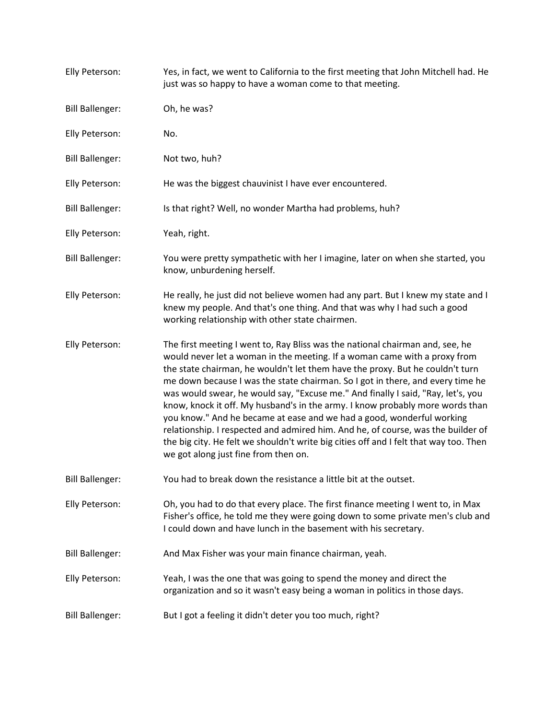| Elly Peterson:         | Yes, in fact, we went to California to the first meeting that John Mitchell had. He<br>just was so happy to have a woman come to that meeting.                                                                                                                                                                                                                                                                                                                                                                                                                                                                                                                                                                                                                                                   |
|------------------------|--------------------------------------------------------------------------------------------------------------------------------------------------------------------------------------------------------------------------------------------------------------------------------------------------------------------------------------------------------------------------------------------------------------------------------------------------------------------------------------------------------------------------------------------------------------------------------------------------------------------------------------------------------------------------------------------------------------------------------------------------------------------------------------------------|
| <b>Bill Ballenger:</b> | Oh, he was?                                                                                                                                                                                                                                                                                                                                                                                                                                                                                                                                                                                                                                                                                                                                                                                      |
| Elly Peterson:         | No.                                                                                                                                                                                                                                                                                                                                                                                                                                                                                                                                                                                                                                                                                                                                                                                              |
| <b>Bill Ballenger:</b> | Not two, huh?                                                                                                                                                                                                                                                                                                                                                                                                                                                                                                                                                                                                                                                                                                                                                                                    |
| Elly Peterson:         | He was the biggest chauvinist I have ever encountered.                                                                                                                                                                                                                                                                                                                                                                                                                                                                                                                                                                                                                                                                                                                                           |
| <b>Bill Ballenger:</b> | Is that right? Well, no wonder Martha had problems, huh?                                                                                                                                                                                                                                                                                                                                                                                                                                                                                                                                                                                                                                                                                                                                         |
| Elly Peterson:         | Yeah, right.                                                                                                                                                                                                                                                                                                                                                                                                                                                                                                                                                                                                                                                                                                                                                                                     |
| <b>Bill Ballenger:</b> | You were pretty sympathetic with her I imagine, later on when she started, you<br>know, unburdening herself.                                                                                                                                                                                                                                                                                                                                                                                                                                                                                                                                                                                                                                                                                     |
| Elly Peterson:         | He really, he just did not believe women had any part. But I knew my state and I<br>knew my people. And that's one thing. And that was why I had such a good<br>working relationship with other state chairmen.                                                                                                                                                                                                                                                                                                                                                                                                                                                                                                                                                                                  |
| Elly Peterson:         | The first meeting I went to, Ray Bliss was the national chairman and, see, he<br>would never let a woman in the meeting. If a woman came with a proxy from<br>the state chairman, he wouldn't let them have the proxy. But he couldn't turn<br>me down because I was the state chairman. So I got in there, and every time he<br>was would swear, he would say, "Excuse me." And finally I said, "Ray, let's, you<br>know, knock it off. My husband's in the army. I know probably more words than<br>you know." And he became at ease and we had a good, wonderful working<br>relationship. I respected and admired him. And he, of course, was the builder of<br>the big city. He felt we shouldn't write big cities off and I felt that way too. Then<br>we got along just fine from then on. |
| <b>Bill Ballenger:</b> | You had to break down the resistance a little bit at the outset.                                                                                                                                                                                                                                                                                                                                                                                                                                                                                                                                                                                                                                                                                                                                 |
| Elly Peterson:         | Oh, you had to do that every place. The first finance meeting I went to, in Max<br>Fisher's office, he told me they were going down to some private men's club and<br>I could down and have lunch in the basement with his secretary.                                                                                                                                                                                                                                                                                                                                                                                                                                                                                                                                                            |
| <b>Bill Ballenger:</b> | And Max Fisher was your main finance chairman, yeah.                                                                                                                                                                                                                                                                                                                                                                                                                                                                                                                                                                                                                                                                                                                                             |
| Elly Peterson:         | Yeah, I was the one that was going to spend the money and direct the<br>organization and so it wasn't easy being a woman in politics in those days.                                                                                                                                                                                                                                                                                                                                                                                                                                                                                                                                                                                                                                              |
| <b>Bill Ballenger:</b> | But I got a feeling it didn't deter you too much, right?                                                                                                                                                                                                                                                                                                                                                                                                                                                                                                                                                                                                                                                                                                                                         |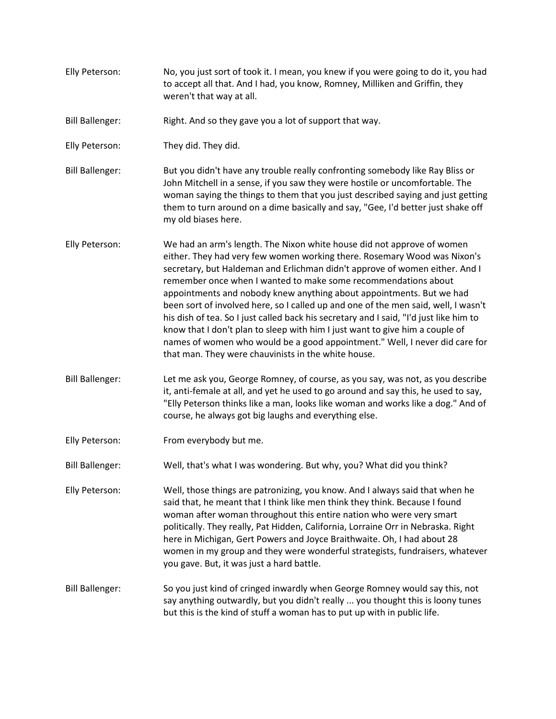Elly Peterson: No, you just sort of took it. I mean, you knew if you were going to do it, you had to accept all that. And I had, you know, Romney, Milliken and Griffin, they weren't that way at all. Bill Ballenger: Right. And so they gave you a lot of support that way. Elly Peterson: They did. They did. Bill Ballenger: But you didn't have any trouble really confronting somebody like Ray Bliss or John Mitchell in a sense, if you saw they were hostile or uncomfortable. The woman saying the things to them that you just described saying and just getting them to turn around on a dime basically and say, "Gee, I'd better just shake off my old biases here. Elly Peterson: We had an arm's length. The Nixon white house did not approve of women either. They had very few women working there. Rosemary Wood was Nixon's secretary, but Haldeman and Erlichman didn't approve of women either. And I remember once when I wanted to make some recommendations about appointments and nobody knew anything about appointments. But we had been sort of involved here, so I called up and one of the men said, well, I wasn't his dish of tea. So I just called back his secretary and I said, "I'd just like him to know that I don't plan to sleep with him I just want to give him a couple of names of women who would be a good appointment." Well, I never did care for that man. They were chauvinists in the white house. Bill Ballenger: Let me ask you, George Romney, of course, as you say, was not, as you describe it, anti-female at all, and yet he used to go around and say this, he used to say, "Elly Peterson thinks like a man, looks like woman and works like a dog." And of course, he always got big laughs and everything else. Elly Peterson: From everybody but me. Bill Ballenger: Well, that's what I was wondering. But why, you? What did you think? Elly Peterson: Well, those things are patronizing, you know. And I always said that when he said that, he meant that I think like men think they think. Because I found woman after woman throughout this entire nation who were very smart politically. They really, Pat Hidden, California, Lorraine Orr in Nebraska. Right here in Michigan, Gert Powers and Joyce Braithwaite. Oh, I had about 28 women in my group and they were wonderful strategists, fundraisers, whatever you gave. But, it was just a hard battle. Bill Ballenger: So you just kind of cringed inwardly when George Romney would say this, not say anything outwardly, but you didn't really ... you thought this is loony tunes but this is the kind of stuff a woman has to put up with in public life.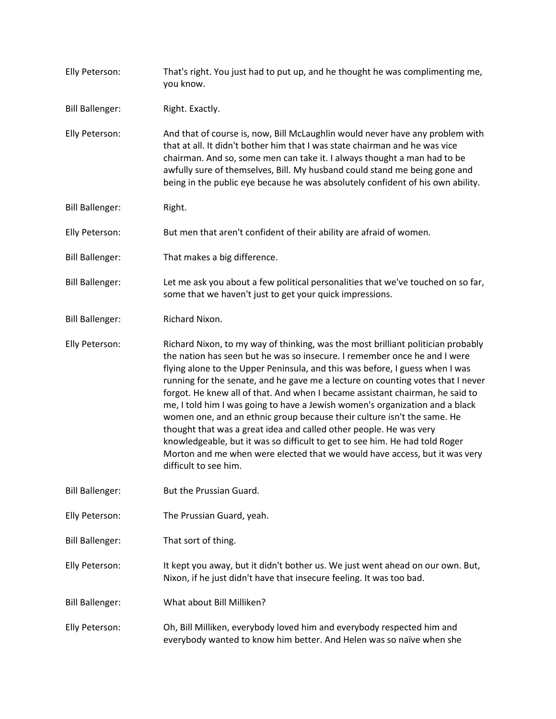Elly Peterson: That's right. You just had to put up, and he thought he was complimenting me, you know. Bill Ballenger: Right. Exactly. Elly Peterson: And that of course is, now, Bill McLaughlin would never have any problem with that at all. It didn't bother him that I was state chairman and he was vice chairman. And so, some men can take it. I always thought a man had to be awfully sure of themselves, Bill. My husband could stand me being gone and being in the public eye because he was absolutely confident of his own ability. Bill Ballenger: Right. Elly Peterson: But men that aren't confident of their ability are afraid of women. Bill Ballenger: That makes a big difference. Bill Ballenger: Let me ask you about a few political personalities that we've touched on so far, some that we haven't just to get your quick impressions. Bill Ballenger: Richard Nixon. Elly Peterson: Richard Nixon, to my way of thinking, was the most brilliant politician probably the nation has seen but he was so insecure. I remember once he and I were flying alone to the Upper Peninsula, and this was before, I guess when I was running for the senate, and he gave me a lecture on counting votes that I never forgot. He knew all of that. And when I became assistant chairman, he said to me, I told him I was going to have a Jewish women's organization and a black women one, and an ethnic group because their culture isn't the same. He thought that was a great idea and called other people. He was very knowledgeable, but it was so difficult to get to see him. He had told Roger Morton and me when were elected that we would have access, but it was very difficult to see him. Bill Ballenger: But the Prussian Guard. Elly Peterson: The Prussian Guard, yeah. Bill Ballenger: That sort of thing. Elly Peterson: It kept you away, but it didn't bother us. We just went ahead on our own. But, Nixon, if he just didn't have that insecure feeling. It was too bad. Bill Ballenger: What about Bill Milliken? Elly Peterson: Oh, Bill Milliken, everybody loved him and everybody respected him and everybody wanted to know him better. And Helen was so naïve when she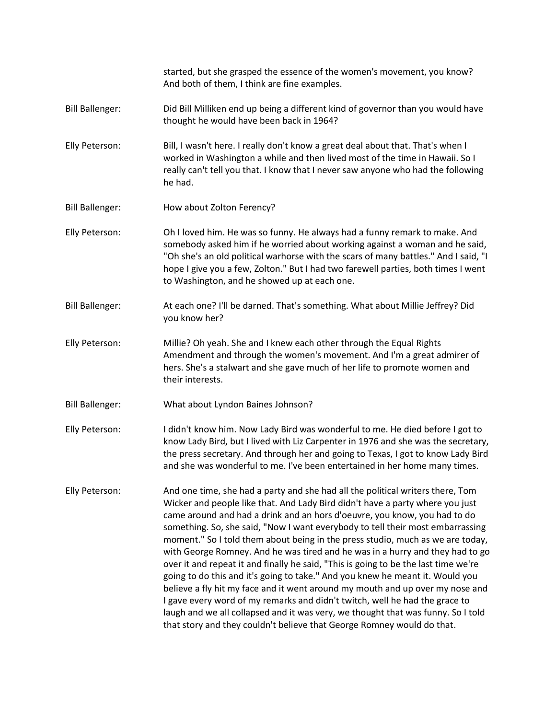started, but she grasped the essence of the women's movement, you know? And both of them, I think are fine examples. Bill Ballenger: Did Bill Milliken end up being a different kind of governor than you would have thought he would have been back in 1964? Elly Peterson: Bill, I wasn't here. I really don't know a great deal about that. That's when I worked in Washington a while and then lived most of the time in Hawaii. So I really can't tell you that. I know that I never saw anyone who had the following he had. Bill Ballenger: How about Zolton Ferency? Elly Peterson: Oh I loved him. He was so funny. He always had a funny remark to make. And somebody asked him if he worried about working against a woman and he said, "Oh she's an old political warhorse with the scars of many battles." And I said, "I hope I give you a few, Zolton." But I had two farewell parties, both times I went to Washington, and he showed up at each one. Bill Ballenger: At each one? I'll be darned. That's something. What about Millie Jeffrey? Did you know her? Elly Peterson: Millie? Oh yeah. She and I knew each other through the Equal Rights Amendment and through the women's movement. And I'm a great admirer of hers. She's a stalwart and she gave much of her life to promote women and their interests. Bill Ballenger: What about Lyndon Baines Johnson? Elly Peterson: I didn't know him. Now Lady Bird was wonderful to me. He died before I got to know Lady Bird, but I lived with Liz Carpenter in 1976 and she was the secretary, the press secretary. And through her and going to Texas, I got to know Lady Bird and she was wonderful to me. I've been entertained in her home many times. Elly Peterson: And one time, she had a party and she had all the political writers there, Tom Wicker and people like that. And Lady Bird didn't have a party where you just came around and had a drink and an hors d'oeuvre, you know, you had to do something. So, she said, "Now I want everybody to tell their most embarrassing moment." So I told them about being in the press studio, much as we are today, with George Romney. And he was tired and he was in a hurry and they had to go over it and repeat it and finally he said, "This is going to be the last time we're going to do this and it's going to take." And you knew he meant it. Would you believe a fly hit my face and it went around my mouth and up over my nose and I gave every word of my remarks and didn't twitch, well he had the grace to laugh and we all collapsed and it was very, we thought that was funny. So I told that story and they couldn't believe that George Romney would do that.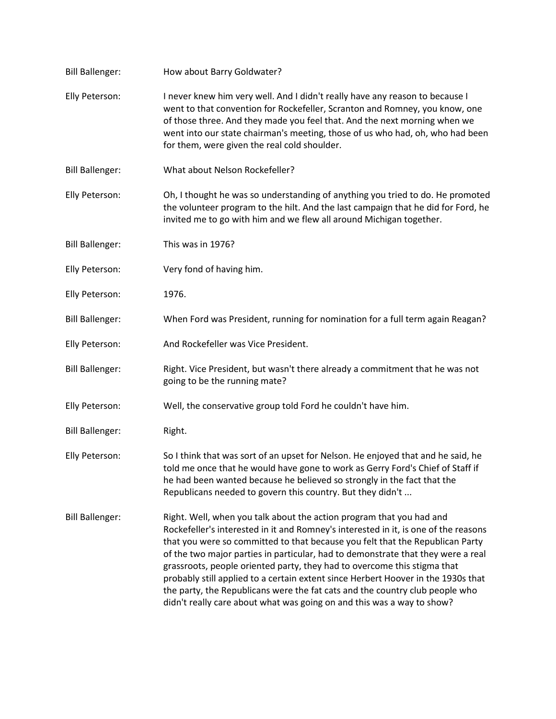| <b>Bill Ballenger:</b> | How about Barry Goldwater?                                                                                                                                                                                                                                                                                                                                                                                                                                                                                                                                                                                                                                  |
|------------------------|-------------------------------------------------------------------------------------------------------------------------------------------------------------------------------------------------------------------------------------------------------------------------------------------------------------------------------------------------------------------------------------------------------------------------------------------------------------------------------------------------------------------------------------------------------------------------------------------------------------------------------------------------------------|
| Elly Peterson:         | I never knew him very well. And I didn't really have any reason to because I<br>went to that convention for Rockefeller, Scranton and Romney, you know, one<br>of those three. And they made you feel that. And the next morning when we<br>went into our state chairman's meeting, those of us who had, oh, who had been<br>for them, were given the real cold shoulder.                                                                                                                                                                                                                                                                                   |
| <b>Bill Ballenger:</b> | What about Nelson Rockefeller?                                                                                                                                                                                                                                                                                                                                                                                                                                                                                                                                                                                                                              |
| Elly Peterson:         | Oh, I thought he was so understanding of anything you tried to do. He promoted<br>the volunteer program to the hilt. And the last campaign that he did for Ford, he<br>invited me to go with him and we flew all around Michigan together.                                                                                                                                                                                                                                                                                                                                                                                                                  |
| <b>Bill Ballenger:</b> | This was in 1976?                                                                                                                                                                                                                                                                                                                                                                                                                                                                                                                                                                                                                                           |
| Elly Peterson:         | Very fond of having him.                                                                                                                                                                                                                                                                                                                                                                                                                                                                                                                                                                                                                                    |
| Elly Peterson:         | 1976.                                                                                                                                                                                                                                                                                                                                                                                                                                                                                                                                                                                                                                                       |
| <b>Bill Ballenger:</b> | When Ford was President, running for nomination for a full term again Reagan?                                                                                                                                                                                                                                                                                                                                                                                                                                                                                                                                                                               |
| Elly Peterson:         | And Rockefeller was Vice President.                                                                                                                                                                                                                                                                                                                                                                                                                                                                                                                                                                                                                         |
| <b>Bill Ballenger:</b> | Right. Vice President, but wasn't there already a commitment that he was not<br>going to be the running mate?                                                                                                                                                                                                                                                                                                                                                                                                                                                                                                                                               |
| Elly Peterson:         | Well, the conservative group told Ford he couldn't have him.                                                                                                                                                                                                                                                                                                                                                                                                                                                                                                                                                                                                |
| <b>Bill Ballenger:</b> | Right.                                                                                                                                                                                                                                                                                                                                                                                                                                                                                                                                                                                                                                                      |
| Elly Peterson:         | So I think that was sort of an upset for Nelson. He enjoyed that and he said, he<br>told me once that he would have gone to work as Gerry Ford's Chief of Staff if<br>he had been wanted because he believed so strongly in the fact that the<br>Republicans needed to govern this country. But they didn't                                                                                                                                                                                                                                                                                                                                                 |
| <b>Bill Ballenger:</b> | Right. Well, when you talk about the action program that you had and<br>Rockefeller's interested in it and Romney's interested in it, is one of the reasons<br>that you were so committed to that because you felt that the Republican Party<br>of the two major parties in particular, had to demonstrate that they were a real<br>grassroots, people oriented party, they had to overcome this stigma that<br>probably still applied to a certain extent since Herbert Hoover in the 1930s that<br>the party, the Republicans were the fat cats and the country club people who<br>didn't really care about what was going on and this was a way to show? |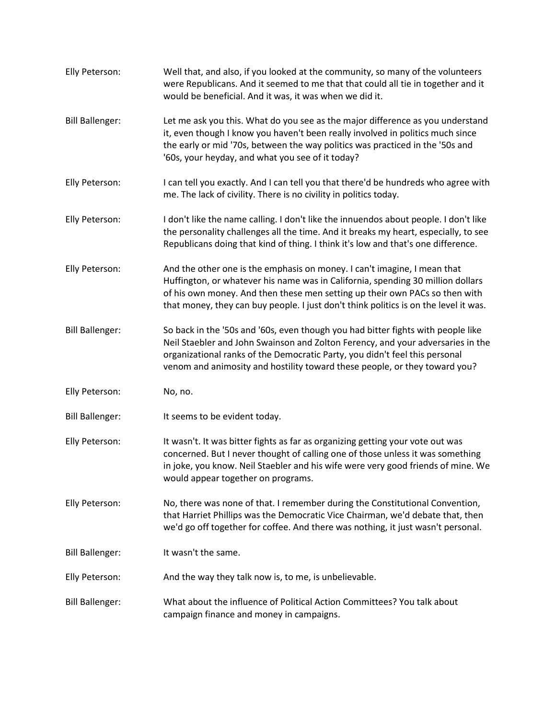| Elly Peterson:         | Well that, and also, if you looked at the community, so many of the volunteers<br>were Republicans. And it seemed to me that that could all tie in together and it<br>would be beneficial. And it was, it was when we did it.                                                                                                      |
|------------------------|------------------------------------------------------------------------------------------------------------------------------------------------------------------------------------------------------------------------------------------------------------------------------------------------------------------------------------|
| <b>Bill Ballenger:</b> | Let me ask you this. What do you see as the major difference as you understand<br>it, even though I know you haven't been really involved in politics much since<br>the early or mid '70s, between the way politics was practiced in the '50s and<br>'60s, your heyday, and what you see of it today?                              |
| Elly Peterson:         | I can tell you exactly. And I can tell you that there'd be hundreds who agree with<br>me. The lack of civility. There is no civility in politics today.                                                                                                                                                                            |
| Elly Peterson:         | I don't like the name calling. I don't like the innuendos about people. I don't like<br>the personality challenges all the time. And it breaks my heart, especially, to see<br>Republicans doing that kind of thing. I think it's low and that's one difference.                                                                   |
| Elly Peterson:         | And the other one is the emphasis on money. I can't imagine, I mean that<br>Huffington, or whatever his name was in California, spending 30 million dollars<br>of his own money. And then these men setting up their own PACs so then with<br>that money, they can buy people. I just don't think politics is on the level it was. |
| <b>Bill Ballenger:</b> | So back in the '50s and '60s, even though you had bitter fights with people like<br>Neil Staebler and John Swainson and Zolton Ferency, and your adversaries in the<br>organizational ranks of the Democratic Party, you didn't feel this personal<br>venom and animosity and hostility toward these people, or they toward you?   |
| Elly Peterson:         | No, no.                                                                                                                                                                                                                                                                                                                            |
| <b>Bill Ballenger:</b> | It seems to be evident today.                                                                                                                                                                                                                                                                                                      |
| Elly Peterson:         | It wasn't. It was bitter fights as far as organizing getting your vote out was<br>concerned. But I never thought of calling one of those unless it was something<br>in joke, you know. Neil Staebler and his wife were very good friends of mine. We<br>would appear together on programs.                                         |
| Elly Peterson:         | No, there was none of that. I remember during the Constitutional Convention,<br>that Harriet Phillips was the Democratic Vice Chairman, we'd debate that, then<br>we'd go off together for coffee. And there was nothing, it just wasn't personal.                                                                                 |
| <b>Bill Ballenger:</b> | It wasn't the same.                                                                                                                                                                                                                                                                                                                |
| Elly Peterson:         | And the way they talk now is, to me, is unbelievable.                                                                                                                                                                                                                                                                              |
| <b>Bill Ballenger:</b> | What about the influence of Political Action Committees? You talk about<br>campaign finance and money in campaigns.                                                                                                                                                                                                                |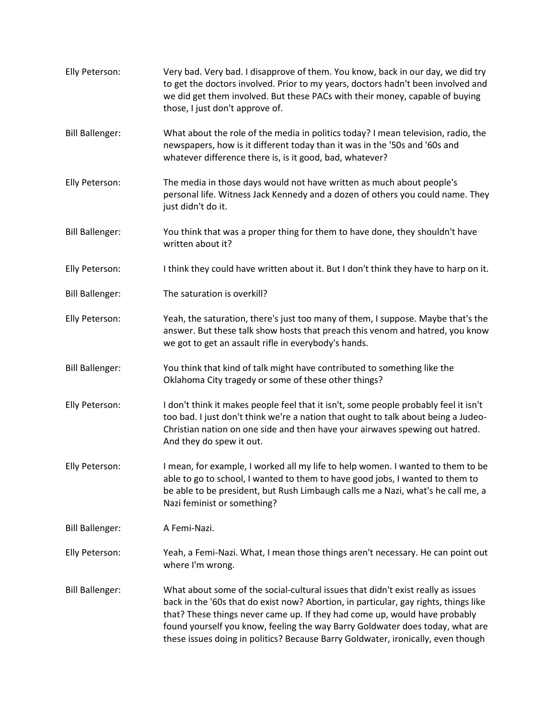| Elly Peterson:         | Very bad. Very bad. I disapprove of them. You know, back in our day, we did try<br>to get the doctors involved. Prior to my years, doctors hadn't been involved and<br>we did get them involved. But these PACs with their money, capable of buying<br>those, I just don't approve of.                                                                                                                                      |
|------------------------|-----------------------------------------------------------------------------------------------------------------------------------------------------------------------------------------------------------------------------------------------------------------------------------------------------------------------------------------------------------------------------------------------------------------------------|
| <b>Bill Ballenger:</b> | What about the role of the media in politics today? I mean television, radio, the<br>newspapers, how is it different today than it was in the '50s and '60s and<br>whatever difference there is, is it good, bad, whatever?                                                                                                                                                                                                 |
| Elly Peterson:         | The media in those days would not have written as much about people's<br>personal life. Witness Jack Kennedy and a dozen of others you could name. They<br>just didn't do it.                                                                                                                                                                                                                                               |
| <b>Bill Ballenger:</b> | You think that was a proper thing for them to have done, they shouldn't have<br>written about it?                                                                                                                                                                                                                                                                                                                           |
| Elly Peterson:         | I think they could have written about it. But I don't think they have to harp on it.                                                                                                                                                                                                                                                                                                                                        |
| <b>Bill Ballenger:</b> | The saturation is overkill?                                                                                                                                                                                                                                                                                                                                                                                                 |
| Elly Peterson:         | Yeah, the saturation, there's just too many of them, I suppose. Maybe that's the<br>answer. But these talk show hosts that preach this venom and hatred, you know<br>we got to get an assault rifle in everybody's hands.                                                                                                                                                                                                   |
| <b>Bill Ballenger:</b> | You think that kind of talk might have contributed to something like the<br>Oklahoma City tragedy or some of these other things?                                                                                                                                                                                                                                                                                            |
| Elly Peterson:         | I don't think it makes people feel that it isn't, some people probably feel it isn't<br>too bad. I just don't think we're a nation that ought to talk about being a Judeo-<br>Christian nation on one side and then have your airwaves spewing out hatred.<br>And they do spew it out.                                                                                                                                      |
| Elly Peterson:         | I mean, for example, I worked all my life to help women. I wanted to them to be<br>able to go to school, I wanted to them to have good jobs, I wanted to them to<br>be able to be president, but Rush Limbaugh calls me a Nazi, what's he call me, a<br>Nazi feminist or something?                                                                                                                                         |
| <b>Bill Ballenger:</b> | A Femi-Nazi.                                                                                                                                                                                                                                                                                                                                                                                                                |
| Elly Peterson:         | Yeah, a Femi-Nazi. What, I mean those things aren't necessary. He can point out<br>where I'm wrong.                                                                                                                                                                                                                                                                                                                         |
| <b>Bill Ballenger:</b> | What about some of the social-cultural issues that didn't exist really as issues<br>back in the '60s that do exist now? Abortion, in particular, gay rights, things like<br>that? These things never came up. If they had come up, would have probably<br>found yourself you know, feeling the way Barry Goldwater does today, what are<br>these issues doing in politics? Because Barry Goldwater, ironically, even though |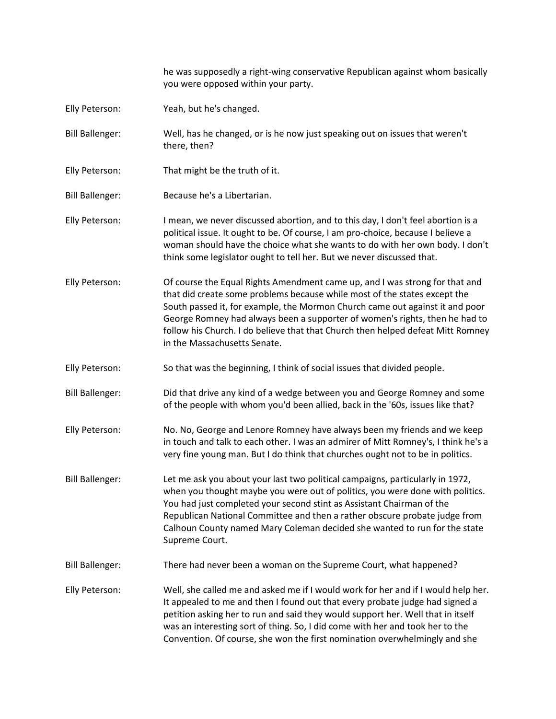he was supposedly a right-wing conservative Republican against whom basically you were opposed within your party. Elly Peterson: Yeah, but he's changed. Bill Ballenger: Well, has he changed, or is he now just speaking out on issues that weren't there, then? Elly Peterson: That might be the truth of it. Bill Ballenger: Because he's a Libertarian. Elly Peterson: I mean, we never discussed abortion, and to this day, I don't feel abortion is a political issue. It ought to be. Of course, I am pro-choice, because I believe a woman should have the choice what she wants to do with her own body. I don't think some legislator ought to tell her. But we never discussed that. Elly Peterson: Of course the Equal Rights Amendment came up, and I was strong for that and that did create some problems because while most of the states except the South passed it, for example, the Mormon Church came out against it and poor George Romney had always been a supporter of women's rights, then he had to follow his Church. I do believe that that Church then helped defeat Mitt Romney in the Massachusetts Senate. Elly Peterson: So that was the beginning, I think of social issues that divided people. Bill Ballenger: Did that drive any kind of a wedge between you and George Romney and some of the people with whom you'd been allied, back in the '60s, issues like that? Elly Peterson: No. No, George and Lenore Romney have always been my friends and we keep in touch and talk to each other. I was an admirer of Mitt Romney's, I think he's a very fine young man. But I do think that churches ought not to be in politics. Bill Ballenger: Let me ask you about your last two political campaigns, particularly in 1972, when you thought maybe you were out of politics, you were done with politics. You had just completed your second stint as Assistant Chairman of the Republican National Committee and then a rather obscure probate judge from Calhoun County named Mary Coleman decided she wanted to run for the state Supreme Court. Bill Ballenger: There had never been a woman on the Supreme Court, what happened? Elly Peterson: Well, she called me and asked me if I would work for her and if I would help her. It appealed to me and then I found out that every probate judge had signed a petition asking her to run and said they would support her. Well that in itself was an interesting sort of thing. So, I did come with her and took her to the Convention. Of course, she won the first nomination overwhelmingly and she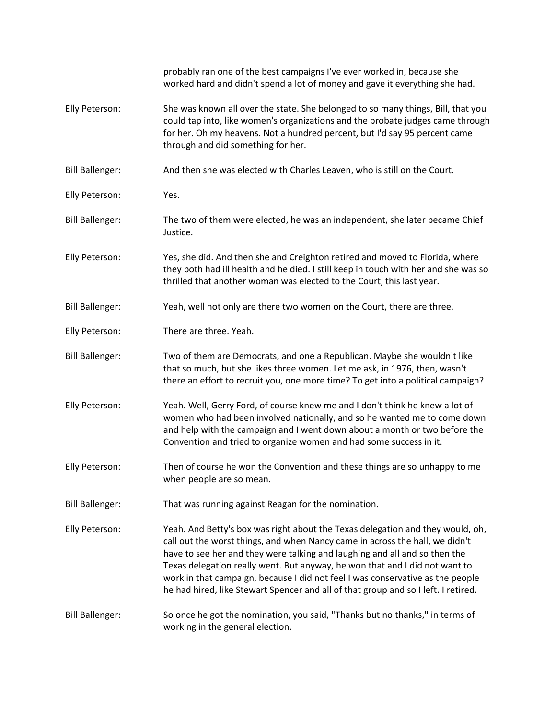|                        | probably ran one of the best campaigns I've ever worked in, because she<br>worked hard and didn't spend a lot of money and gave it everything she had.                                                                                                                                                                                                                                                                                                                                              |
|------------------------|-----------------------------------------------------------------------------------------------------------------------------------------------------------------------------------------------------------------------------------------------------------------------------------------------------------------------------------------------------------------------------------------------------------------------------------------------------------------------------------------------------|
| Elly Peterson:         | She was known all over the state. She belonged to so many things, Bill, that you<br>could tap into, like women's organizations and the probate judges came through<br>for her. Oh my heavens. Not a hundred percent, but I'd say 95 percent came<br>through and did something for her.                                                                                                                                                                                                              |
| <b>Bill Ballenger:</b> | And then she was elected with Charles Leaven, who is still on the Court.                                                                                                                                                                                                                                                                                                                                                                                                                            |
| Elly Peterson:         | Yes.                                                                                                                                                                                                                                                                                                                                                                                                                                                                                                |
| <b>Bill Ballenger:</b> | The two of them were elected, he was an independent, she later became Chief<br>Justice.                                                                                                                                                                                                                                                                                                                                                                                                             |
| Elly Peterson:         | Yes, she did. And then she and Creighton retired and moved to Florida, where<br>they both had ill health and he died. I still keep in touch with her and she was so<br>thrilled that another woman was elected to the Court, this last year.                                                                                                                                                                                                                                                        |
| <b>Bill Ballenger:</b> | Yeah, well not only are there two women on the Court, there are three.                                                                                                                                                                                                                                                                                                                                                                                                                              |
| Elly Peterson:         | There are three. Yeah.                                                                                                                                                                                                                                                                                                                                                                                                                                                                              |
| <b>Bill Ballenger:</b> | Two of them are Democrats, and one a Republican. Maybe she wouldn't like<br>that so much, but she likes three women. Let me ask, in 1976, then, wasn't<br>there an effort to recruit you, one more time? To get into a political campaign?                                                                                                                                                                                                                                                          |
| Elly Peterson:         | Yeah. Well, Gerry Ford, of course knew me and I don't think he knew a lot of<br>women who had been involved nationally, and so he wanted me to come down<br>and help with the campaign and I went down about a month or two before the<br>Convention and tried to organize women and had some success in it.                                                                                                                                                                                        |
| Elly Peterson:         | Then of course he won the Convention and these things are so unhappy to me<br>when people are so mean.                                                                                                                                                                                                                                                                                                                                                                                              |
| <b>Bill Ballenger:</b> | That was running against Reagan for the nomination.                                                                                                                                                                                                                                                                                                                                                                                                                                                 |
| Elly Peterson:         | Yeah. And Betty's box was right about the Texas delegation and they would, oh,<br>call out the worst things, and when Nancy came in across the hall, we didn't<br>have to see her and they were talking and laughing and all and so then the<br>Texas delegation really went. But anyway, he won that and I did not want to<br>work in that campaign, because I did not feel I was conservative as the people<br>he had hired, like Stewart Spencer and all of that group and so I left. I retired. |
| <b>Bill Ballenger:</b> | So once he got the nomination, you said, "Thanks but no thanks," in terms of<br>working in the general election.                                                                                                                                                                                                                                                                                                                                                                                    |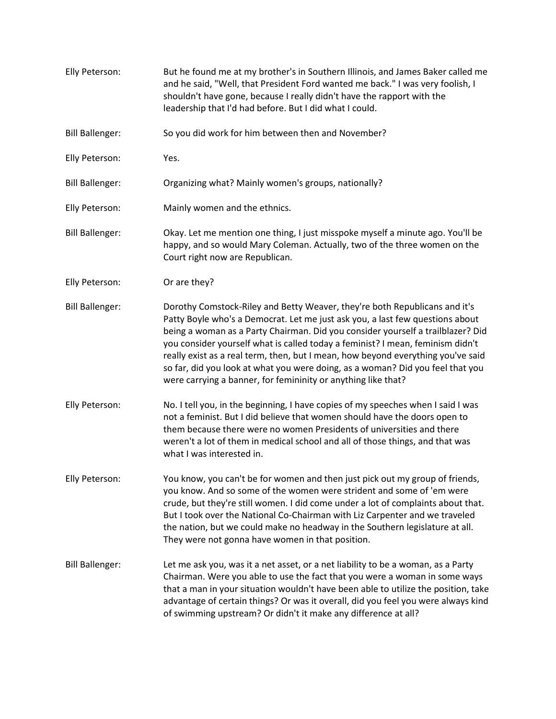Elly Peterson: But he found me at my brother's in Southern Illinois, and James Baker called me and he said, "Well, that President Ford wanted me back." I was very foolish, I shouldn't have gone, because I really didn't have the rapport with the leadership that I'd had before. But I did what I could. Bill Ballenger: So you did work for him between then and November? Elly Peterson: Yes. Bill Ballenger: Organizing what? Mainly women's groups, nationally? Elly Peterson: Mainly women and the ethnics. Bill Ballenger: Okay. Let me mention one thing, I just misspoke myself a minute ago. You'll be happy, and so would Mary Coleman. Actually, two of the three women on the Court right now are Republican. Elly Peterson: Or are they? Bill Ballenger: Dorothy Comstock-Riley and Betty Weaver, they're both Republicans and it's Patty Boyle who's a Democrat. Let me just ask you, a last few questions about being a woman as a Party Chairman. Did you consider yourself a trailblazer? Did you consider yourself what is called today a feminist? I mean, feminism didn't really exist as a real term, then, but I mean, how beyond everything you've said so far, did you look at what you were doing, as a woman? Did you feel that you were carrying a banner, for femininity or anything like that? Elly Peterson: No. I tell you, in the beginning, I have copies of my speeches when I said I was not a feminist. But I did believe that women should have the doors open to them because there were no women Presidents of universities and there weren't a lot of them in medical school and all of those things, and that was what I was interested in. Elly Peterson: You know, you can't be for women and then just pick out my group of friends, you know. And so some of the women were strident and some of 'em were crude, but they're still women. I did come under a lot of complaints about that. But I took over the National Co-Chairman with Liz Carpenter and we traveled the nation, but we could make no headway in the Southern legislature at all. They were not gonna have women in that position. Bill Ballenger: Let me ask you, was it a net asset, or a net liability to be a woman, as a Party Chairman. Were you able to use the fact that you were a woman in some ways that a man in your situation wouldn't have been able to utilize the position, take advantage of certain things? Or was it overall, did you feel you were always kind of swimming upstream? Or didn't it make any difference at all?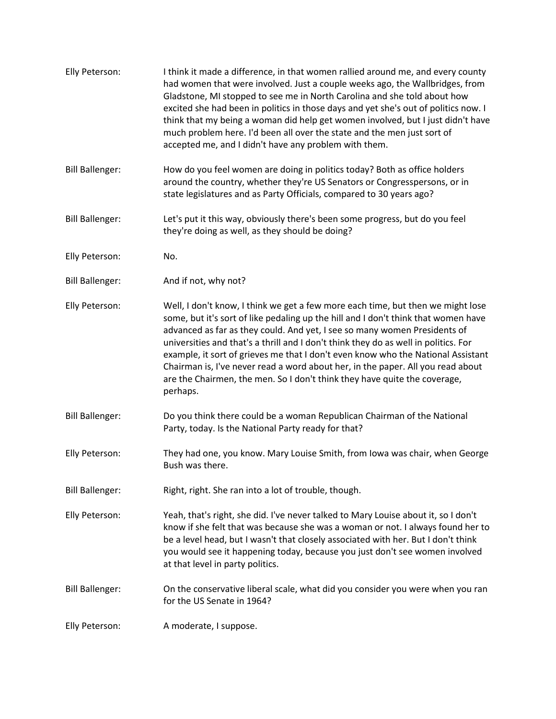| Elly Peterson:         | I think it made a difference, in that women rallied around me, and every county<br>had women that were involved. Just a couple weeks ago, the Wallbridges, from<br>Gladstone, MI stopped to see me in North Carolina and she told about how<br>excited she had been in politics in those days and yet she's out of politics now. I<br>think that my being a woman did help get women involved, but I just didn't have<br>much problem here. I'd been all over the state and the men just sort of<br>accepted me, and I didn't have any problem with them.                                                 |
|------------------------|-----------------------------------------------------------------------------------------------------------------------------------------------------------------------------------------------------------------------------------------------------------------------------------------------------------------------------------------------------------------------------------------------------------------------------------------------------------------------------------------------------------------------------------------------------------------------------------------------------------|
| <b>Bill Ballenger:</b> | How do you feel women are doing in politics today? Both as office holders<br>around the country, whether they're US Senators or Congresspersons, or in<br>state legislatures and as Party Officials, compared to 30 years ago?                                                                                                                                                                                                                                                                                                                                                                            |
| <b>Bill Ballenger:</b> | Let's put it this way, obviously there's been some progress, but do you feel<br>they're doing as well, as they should be doing?                                                                                                                                                                                                                                                                                                                                                                                                                                                                           |
| Elly Peterson:         | No.                                                                                                                                                                                                                                                                                                                                                                                                                                                                                                                                                                                                       |
| <b>Bill Ballenger:</b> | And if not, why not?                                                                                                                                                                                                                                                                                                                                                                                                                                                                                                                                                                                      |
| Elly Peterson:         | Well, I don't know, I think we get a few more each time, but then we might lose<br>some, but it's sort of like pedaling up the hill and I don't think that women have<br>advanced as far as they could. And yet, I see so many women Presidents of<br>universities and that's a thrill and I don't think they do as well in politics. For<br>example, it sort of grieves me that I don't even know who the National Assistant<br>Chairman is, I've never read a word about her, in the paper. All you read about<br>are the Chairmen, the men. So I don't think they have quite the coverage,<br>perhaps. |
| <b>Bill Ballenger:</b> | Do you think there could be a woman Republican Chairman of the National<br>Party, today. Is the National Party ready for that?                                                                                                                                                                                                                                                                                                                                                                                                                                                                            |
| Elly Peterson:         | They had one, you know. Mary Louise Smith, from Iowa was chair, when George<br>Bush was there.                                                                                                                                                                                                                                                                                                                                                                                                                                                                                                            |
| <b>Bill Ballenger:</b> | Right, right. She ran into a lot of trouble, though.                                                                                                                                                                                                                                                                                                                                                                                                                                                                                                                                                      |
| Elly Peterson:         | Yeah, that's right, she did. I've never talked to Mary Louise about it, so I don't<br>know if she felt that was because she was a woman or not. I always found her to<br>be a level head, but I wasn't that closely associated with her. But I don't think<br>you would see it happening today, because you just don't see women involved<br>at that level in party politics.                                                                                                                                                                                                                             |
| <b>Bill Ballenger:</b> | On the conservative liberal scale, what did you consider you were when you ran<br>for the US Senate in 1964?                                                                                                                                                                                                                                                                                                                                                                                                                                                                                              |
| Elly Peterson:         | A moderate, I suppose.                                                                                                                                                                                                                                                                                                                                                                                                                                                                                                                                                                                    |